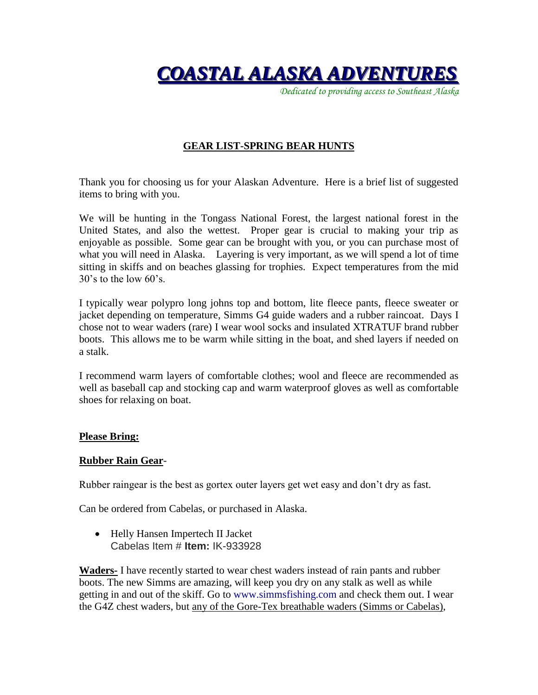**COASTAL ALASKA ADVENTURE** 

*Dedicated to providing access to Southeast Alaska*

# **GEAR LIST-SPRING BEAR HUNTS**

Thank you for choosing us for your Alaskan Adventure. Here is a brief list of suggested items to bring with you.

We will be hunting in the Tongass National Forest, the largest national forest in the United States, and also the wettest. Proper gear is crucial to making your trip as enjoyable as possible. Some gear can be brought with you, or you can purchase most of what you will need in Alaska. Layering is very important, as we will spend a lot of time sitting in skiffs and on beaches glassing for trophies. Expect temperatures from the mid  $30's$  to the low  $60's$ .

I typically wear polypro long johns top and bottom, lite fleece pants, fleece sweater or jacket depending on temperature, Simms G4 guide waders and a rubber raincoat. Days I chose not to wear waders (rare) I wear wool socks and insulated XTRATUF brand rubber boots. This allows me to be warm while sitting in the boat, and shed layers if needed on a stalk.

I recommend warm layers of comfortable clothes; wool and fleece are recommended as well as baseball cap and stocking cap and warm waterproof gloves as well as comfortable shoes for relaxing on boat.

## **Please Bring:**

## **Rubber Rain Gear**-

Rubber raingear is the best as gortex outer layers get wet easy and don't dry as fast.

Can be ordered from Cabelas, or purchased in Alaska.

• Helly Hansen Impertech II Jacket Cabelas Item # **Item:** IK-933928

**Waders-** I have recently started to wear chest waders instead of rain pants and rubber boots. The new Simms are amazing, will keep you dry on any stalk as well as while getting in and out of the skiff. Go to [www.simmsfishing.com](http://www.simmsfishing.com/) and check them out. I wear the G4Z chest waders, but any of the Gore-Tex breathable waders (Simms or Cabelas),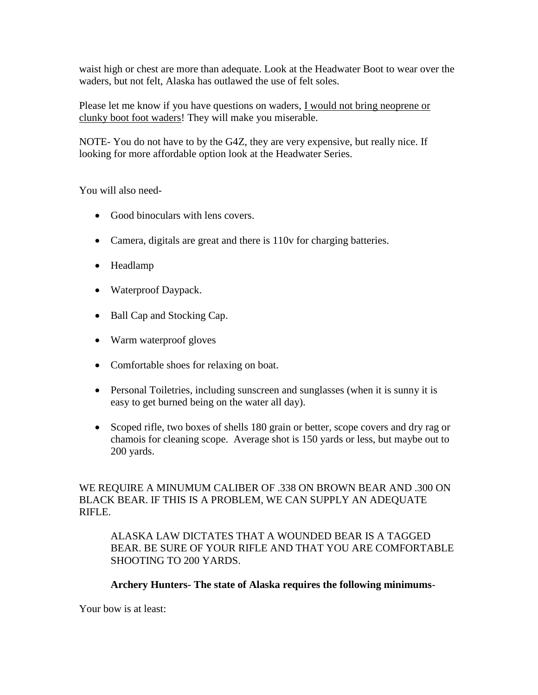waist high or chest are more than adequate. Look at the Headwater Boot to wear over the waders, but not felt, Alaska has outlawed the use of felt soles.

Please let me know if you have questions on waders, I would not bring neoprene or clunky boot foot waders! They will make you miserable.

NOTE- You do not have to by the G4Z, they are very expensive, but really nice. If looking for more affordable option look at the Headwater Series.

You will also need-

- Good binoculars with lens covers.
- Camera, digitals are great and there is 110v for charging batteries.
- Headlamp
- Waterproof Daypack.
- Ball Cap and Stocking Cap.
- Warm waterproof gloves
- Comfortable shoes for relaxing on boat.
- Personal Toiletries, including sunscreen and sunglasses (when it is sunny it is easy to get burned being on the water all day).
- Scoped rifle, two boxes of shells 180 grain or better, scope covers and dry rag or chamois for cleaning scope. Average shot is 150 yards or less, but maybe out to 200 yards.

WE REQUIRE A MINUMUM CALIBER OF .338 ON BROWN BEAR AND .300 ON BLACK BEAR. IF THIS IS A PROBLEM, WE CAN SUPPLY AN ADEQUATE RIFLE.

ALASKA LAW DICTATES THAT A WOUNDED BEAR IS A TAGGED BEAR. BE SURE OF YOUR RIFLE AND THAT YOU ARE COMFORTABLE SHOOTING TO 200 YARDS.

## **Archery Hunters- The state of Alaska requires the following minimums**-

Your bow is at least: